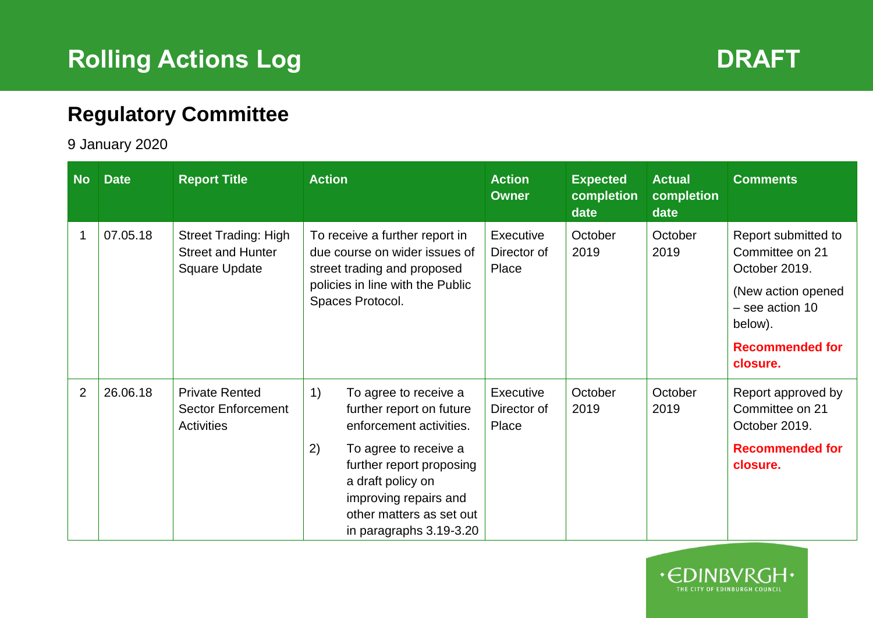

 $\cdot$   $\in$ 

THE CITY OF EDINBURGH COUNCIL

## **Regulatory Committee**

## 9 January 2020

| <b>No</b>      | <b>Date</b> | <b>Report Title</b>                                                      | <b>Action</b>                                                                                                                                                                                                                                                                                   | <b>Action</b><br><b>Owner</b>     | <b>Expected</b><br>completion<br>date | <b>Actual</b><br>completion<br>date | <b>Comments</b>                                                                                                                                   |
|----------------|-------------|--------------------------------------------------------------------------|-------------------------------------------------------------------------------------------------------------------------------------------------------------------------------------------------------------------------------------------------------------------------------------------------|-----------------------------------|---------------------------------------|-------------------------------------|---------------------------------------------------------------------------------------------------------------------------------------------------|
|                | 07.05.18    | <b>Street Trading: High</b><br><b>Street and Hunter</b><br>Square Update | To receive a further report in<br>due course on wider issues of<br>street trading and proposed<br>policies in line with the Public<br>Spaces Protocol.                                                                                                                                          | Executive<br>Director of<br>Place | October<br>2019                       | October<br>2019                     | Report submitted to<br>Committee on 21<br>October 2019.<br>(New action opened<br>- see action 10<br>below).<br><b>Recommended for</b><br>closure. |
| $\overline{2}$ | 26.06.18    | <b>Private Rented</b><br><b>Sector Enforcement</b><br><b>Activities</b>  | $\left( \begin{array}{c} 1 \end{array} \right)$<br>To agree to receive a<br>further report on future<br>enforcement activities.<br>2)<br>To agree to receive a<br>further report proposing<br>a draft policy on<br>improving repairs and<br>other matters as set out<br>in paragraphs 3.19-3.20 | Executive<br>Director of<br>Place | October<br>2019                       | October<br>2019                     | Report approved by<br>Committee on 21<br>October 2019.<br><b>Recommended for</b><br>closure.                                                      |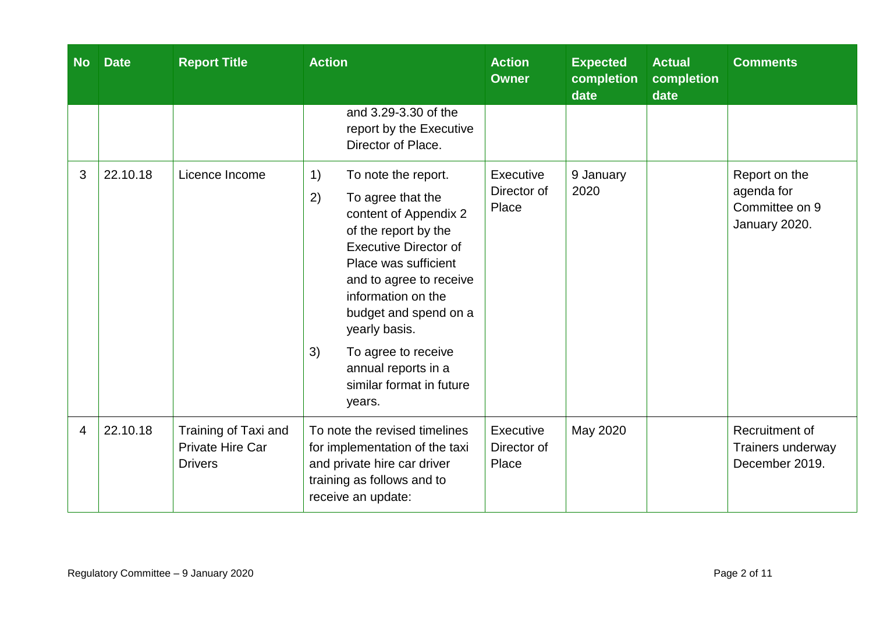| <b>No</b> | <b>Date</b> | <b>Report Title</b>                                        | <b>Action</b>                                                                                                                                                                                                                                                                                                                                      | <b>Action</b><br><b>Owner</b>     | <b>Expected</b><br>completion<br>date | <b>Actual</b><br>completion<br>date | <b>Comments</b>                                                |
|-----------|-------------|------------------------------------------------------------|----------------------------------------------------------------------------------------------------------------------------------------------------------------------------------------------------------------------------------------------------------------------------------------------------------------------------------------------------|-----------------------------------|---------------------------------------|-------------------------------------|----------------------------------------------------------------|
|           |             |                                                            | and 3.29-3.30 of the<br>report by the Executive<br>Director of Place.                                                                                                                                                                                                                                                                              |                                   |                                       |                                     |                                                                |
| 3         | 22.10.18    | Licence Income                                             | 1)<br>To note the report.<br>2)<br>To agree that the<br>content of Appendix 2<br>of the report by the<br><b>Executive Director of</b><br>Place was sufficient<br>and to agree to receive<br>information on the<br>budget and spend on a<br>yearly basis.<br>3)<br>To agree to receive<br>annual reports in a<br>similar format in future<br>years. | Executive<br>Director of<br>Place | 9 January<br>2020                     |                                     | Report on the<br>agenda for<br>Committee on 9<br>January 2020. |
| 4         | 22.10.18    | Training of Taxi and<br>Private Hire Car<br><b>Drivers</b> | To note the revised timelines<br>for implementation of the taxi<br>and private hire car driver<br>training as follows and to<br>receive an update:                                                                                                                                                                                                 | Executive<br>Director of<br>Place | May 2020                              |                                     | Recruitment of<br>Trainers underway<br>December 2019.          |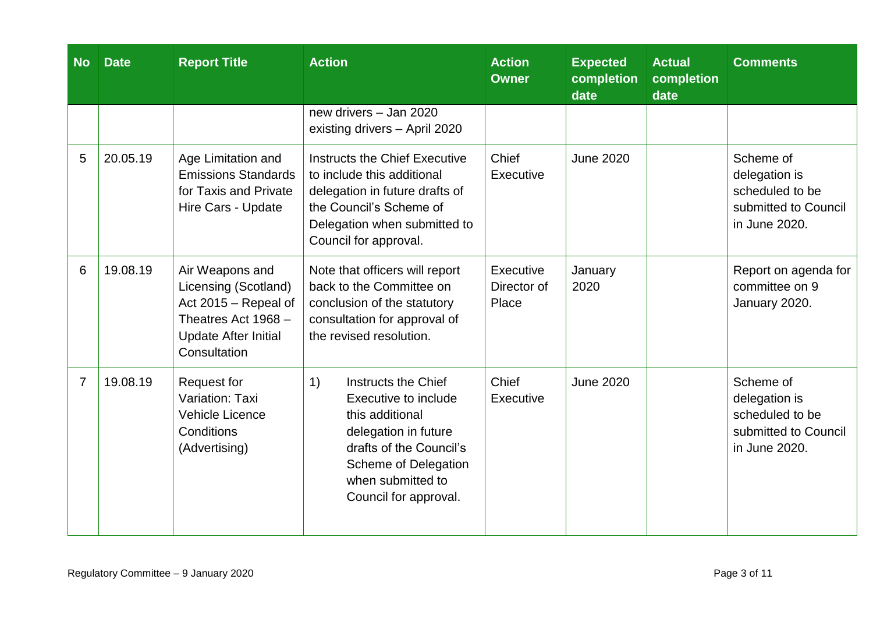| <b>No</b>      | <b>Date</b> | <b>Report Title</b>                                                                                                                   | <b>Action</b>                                                                                                                                                                                 | <b>Action</b><br><b>Owner</b>     | <b>Expected</b><br>completion<br>date | <b>Actual</b><br>completion<br>date | <b>Comments</b>                                                                        |
|----------------|-------------|---------------------------------------------------------------------------------------------------------------------------------------|-----------------------------------------------------------------------------------------------------------------------------------------------------------------------------------------------|-----------------------------------|---------------------------------------|-------------------------------------|----------------------------------------------------------------------------------------|
|                |             |                                                                                                                                       | new drivers - Jan 2020<br>existing drivers - April 2020                                                                                                                                       |                                   |                                       |                                     |                                                                                        |
| 5              | 20.05.19    | Age Limitation and<br><b>Emissions Standards</b><br>for Taxis and Private<br>Hire Cars - Update                                       | Instructs the Chief Executive<br>to include this additional<br>delegation in future drafts of<br>the Council's Scheme of<br>Delegation when submitted to<br>Council for approval.             | Chief<br>Executive                | <b>June 2020</b>                      |                                     | Scheme of<br>delegation is<br>scheduled to be<br>submitted to Council<br>in June 2020. |
| 6              | 19.08.19    | Air Weapons and<br>Licensing (Scotland)<br>Act 2015 - Repeal of<br>Theatres Act 1968 -<br><b>Update After Initial</b><br>Consultation | Note that officers will report<br>back to the Committee on<br>conclusion of the statutory<br>consultation for approval of<br>the revised resolution.                                          | Executive<br>Director of<br>Place | January<br>2020                       |                                     | Report on agenda for<br>committee on 9<br>January 2020.                                |
| $\overline{7}$ | 19.08.19    | <b>Request for</b><br>Variation: Taxi<br><b>Vehicle Licence</b><br>Conditions<br>(Advertising)                                        | 1)<br>Instructs the Chief<br>Executive to include<br>this additional<br>delegation in future<br>drafts of the Council's<br>Scheme of Delegation<br>when submitted to<br>Council for approval. | Chief<br>Executive                | <b>June 2020</b>                      |                                     | Scheme of<br>delegation is<br>scheduled to be<br>submitted to Council<br>in June 2020. |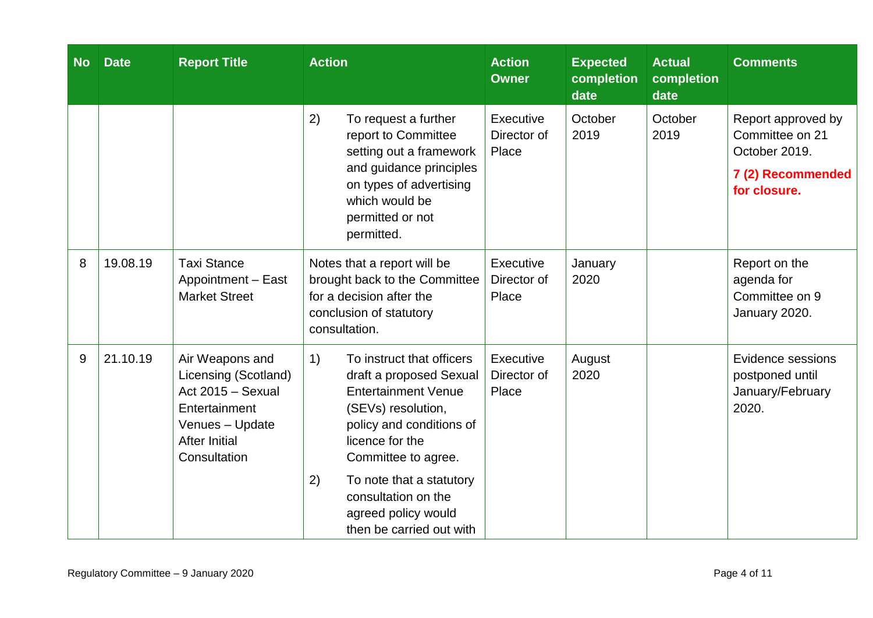| <b>No</b> | <b>Date</b> | <b>Report Title</b>                                                                                                                      | <b>Action</b>                                                                                                                                                                                                                                                                                    | <b>Action</b><br><b>Owner</b>     | <b>Expected</b><br>completion<br>date | <b>Actual</b><br>completion<br>date | <b>Comments</b>                                                                             |
|-----------|-------------|------------------------------------------------------------------------------------------------------------------------------------------|--------------------------------------------------------------------------------------------------------------------------------------------------------------------------------------------------------------------------------------------------------------------------------------------------|-----------------------------------|---------------------------------------|-------------------------------------|---------------------------------------------------------------------------------------------|
|           |             |                                                                                                                                          | 2)<br>To request a further<br>report to Committee<br>setting out a framework<br>and guidance principles<br>on types of advertising<br>which would be<br>permitted or not<br>permitted.                                                                                                           | Executive<br>Director of<br>Place | October<br>2019                       | October<br>2019                     | Report approved by<br>Committee on 21<br>October 2019.<br>7 (2) Recommended<br>for closure. |
| 8         | 19.08.19    | <b>Taxi Stance</b><br>Appointment - East<br><b>Market Street</b>                                                                         | Notes that a report will be<br>brought back to the Committee<br>for a decision after the<br>conclusion of statutory<br>consultation.                                                                                                                                                             | Executive<br>Director of<br>Place | January<br>2020                       |                                     | Report on the<br>agenda for<br>Committee on 9<br>January 2020.                              |
| 9         | 21.10.19    | Air Weapons and<br>Licensing (Scotland)<br>Act 2015 - Sexual<br>Entertainment<br>Venues - Update<br><b>After Initial</b><br>Consultation | 1)<br>To instruct that officers<br>draft a proposed Sexual<br><b>Entertainment Venue</b><br>(SEVs) resolution,<br>policy and conditions of<br>licence for the<br>Committee to agree.<br>2)<br>To note that a statutory<br>consultation on the<br>agreed policy would<br>then be carried out with | Executive<br>Director of<br>Place | August<br>2020                        |                                     | Evidence sessions<br>postponed until<br>January/February<br>2020.                           |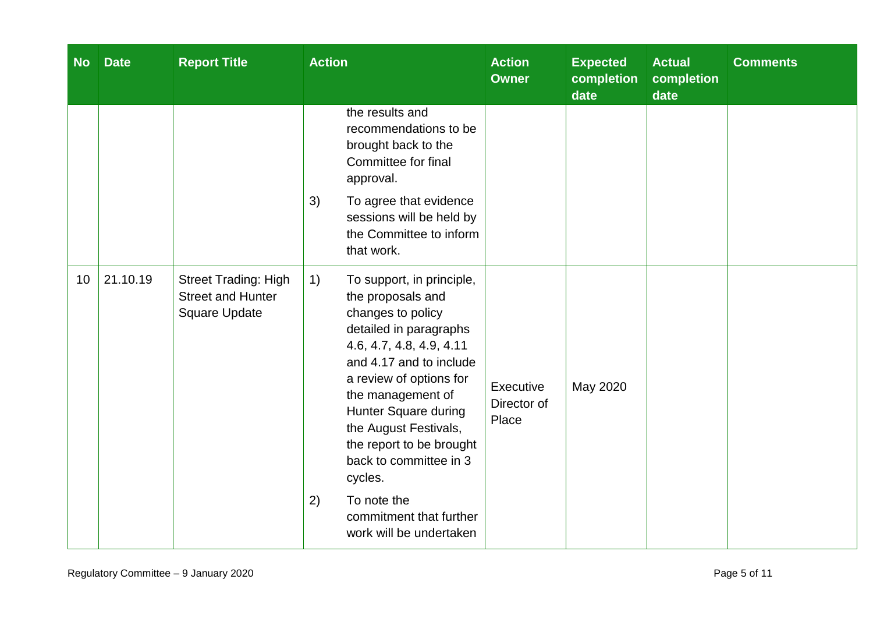| <b>No</b> | <b>Date</b> | <b>Report Title</b>                                                      | <b>Action</b>                                                                                                                                                                                                                                                                                                                | <b>Action</b><br><b>Owner</b>     | <b>Expected</b><br>completion<br>date | <b>Actual</b><br>completion<br>date | <b>Comments</b> |
|-----------|-------------|--------------------------------------------------------------------------|------------------------------------------------------------------------------------------------------------------------------------------------------------------------------------------------------------------------------------------------------------------------------------------------------------------------------|-----------------------------------|---------------------------------------|-------------------------------------|-----------------|
|           |             |                                                                          | the results and<br>recommendations to be<br>brought back to the<br>Committee for final<br>approval.<br>3)<br>To agree that evidence                                                                                                                                                                                          |                                   |                                       |                                     |                 |
|           |             |                                                                          | sessions will be held by<br>the Committee to inform<br>that work.                                                                                                                                                                                                                                                            |                                   |                                       |                                     |                 |
| 10        | 21.10.19    | <b>Street Trading: High</b><br><b>Street and Hunter</b><br>Square Update | 1)<br>To support, in principle,<br>the proposals and<br>changes to policy<br>detailed in paragraphs<br>4.6, 4.7, 4.8, 4.9, 4.11<br>and 4.17 and to include<br>a review of options for<br>the management of<br>Hunter Square during<br>the August Festivals,<br>the report to be brought<br>back to committee in 3<br>cycles. | Executive<br>Director of<br>Place | May 2020                              |                                     |                 |
|           |             |                                                                          | To note the<br>2)<br>commitment that further<br>work will be undertaken                                                                                                                                                                                                                                                      |                                   |                                       |                                     |                 |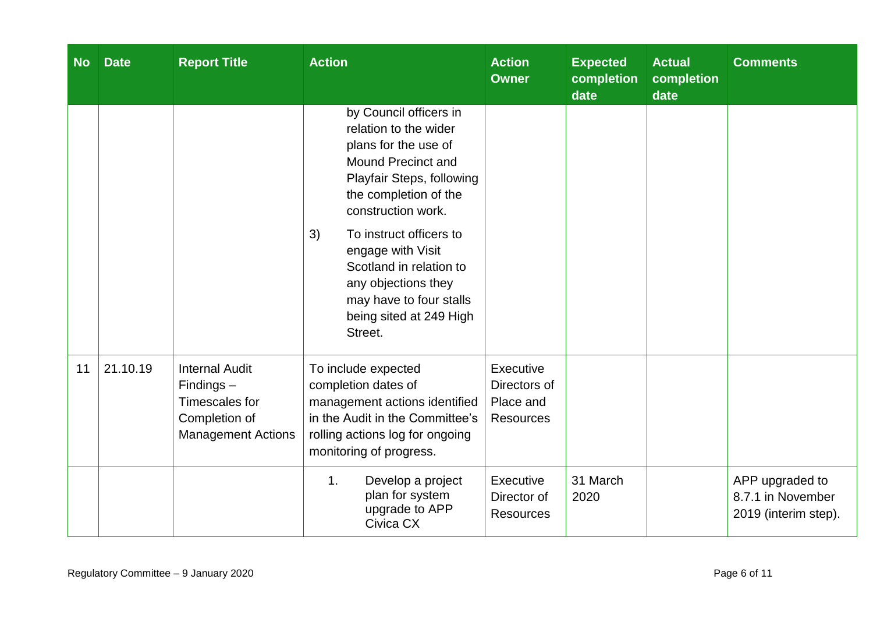| <b>No</b> | <b>Date</b> | <b>Report Title</b>                                                                                   | <b>Action</b>                                                                                                                                                                                                                                                                                                                                      | <b>Action</b><br><b>Owner</b>                              | <b>Expected</b><br>completion<br>date | <b>Actual</b><br>completion<br>date | <b>Comments</b>                                              |
|-----------|-------------|-------------------------------------------------------------------------------------------------------|----------------------------------------------------------------------------------------------------------------------------------------------------------------------------------------------------------------------------------------------------------------------------------------------------------------------------------------------------|------------------------------------------------------------|---------------------------------------|-------------------------------------|--------------------------------------------------------------|
|           |             |                                                                                                       | by Council officers in<br>relation to the wider<br>plans for the use of<br>Mound Precinct and<br>Playfair Steps, following<br>the completion of the<br>construction work.<br>To instruct officers to<br>3)<br>engage with Visit<br>Scotland in relation to<br>any objections they<br>may have to four stalls<br>being sited at 249 High<br>Street. |                                                            |                                       |                                     |                                                              |
| 11        | 21.10.19    | <b>Internal Audit</b><br>$Findings -$<br>Timescales for<br>Completion of<br><b>Management Actions</b> | To include expected<br>completion dates of<br>management actions identified<br>in the Audit in the Committee's<br>rolling actions log for ongoing<br>monitoring of progress.                                                                                                                                                                       | Executive<br>Directors of<br>Place and<br><b>Resources</b> |                                       |                                     |                                                              |
|           |             |                                                                                                       | Develop a project<br>1 <sub>1</sub><br>plan for system<br>upgrade to APP<br>Civica CX                                                                                                                                                                                                                                                              | Executive<br>Director of<br><b>Resources</b>               | 31 March<br>2020                      |                                     | APP upgraded to<br>8.7.1 in November<br>2019 (interim step). |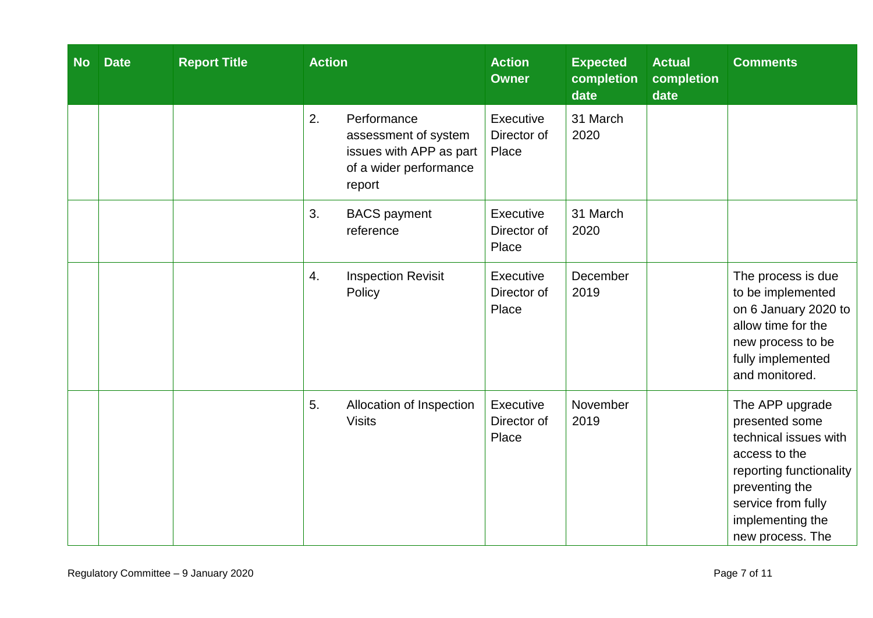| <b>No</b> | <b>Date</b> | <b>Report Title</b> | <b>Action</b>                          |                                                                           | <b>Action</b><br><b>Owner</b>     | <b>Expected</b><br>completion<br>date | <b>Actual</b><br>completion<br>date | <b>Comments</b>                                                                                                                                                                        |
|-----------|-------------|---------------------|----------------------------------------|---------------------------------------------------------------------------|-----------------------------------|---------------------------------------|-------------------------------------|----------------------------------------------------------------------------------------------------------------------------------------------------------------------------------------|
|           |             |                     | 2.<br>Performance<br>report            | assessment of system<br>issues with APP as part<br>of a wider performance | Executive<br>Director of<br>Place | 31 March<br>2020                      |                                     |                                                                                                                                                                                        |
|           |             |                     | 3.<br><b>BACS</b> payment<br>reference |                                                                           | Executive<br>Director of<br>Place | 31 March<br>2020                      |                                     |                                                                                                                                                                                        |
|           |             |                     | 4.<br>Policy                           | <b>Inspection Revisit</b>                                                 | Executive<br>Director of<br>Place | December<br>2019                      |                                     | The process is due<br>to be implemented<br>on 6 January 2020 to<br>allow time for the<br>new process to be<br>fully implemented<br>and monitored.                                      |
|           |             |                     | 5.<br><b>Visits</b>                    | Allocation of Inspection                                                  | Executive<br>Director of<br>Place | November<br>2019                      |                                     | The APP upgrade<br>presented some<br>technical issues with<br>access to the<br>reporting functionality<br>preventing the<br>service from fully<br>implementing the<br>new process. The |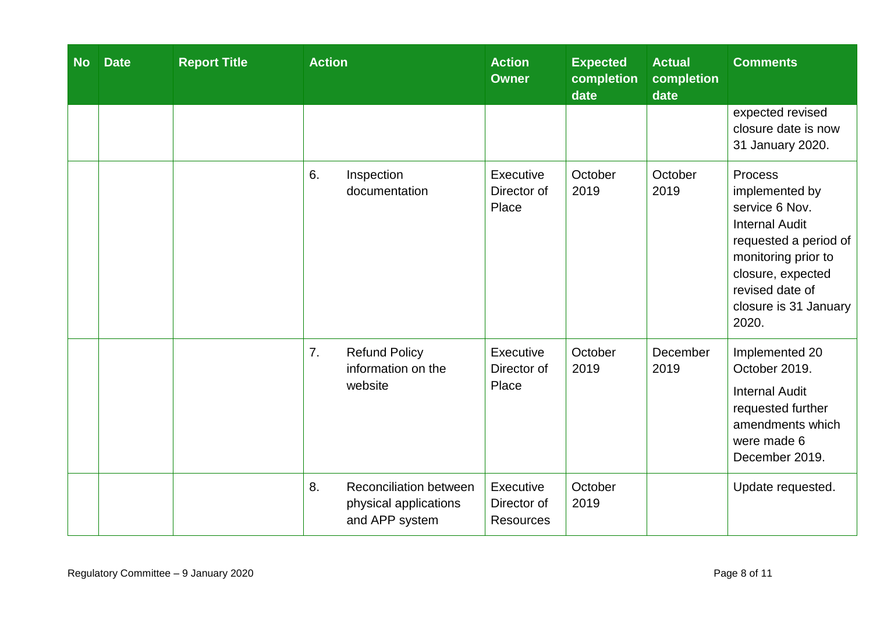| <b>No</b> | <b>Date</b> | <b>Report Title</b> | <b>Action</b>                                                                  | <b>Action</b><br><b>Owner</b>                | <b>Expected</b><br>completion<br>date | <b>Actual</b><br>completion<br>date | <b>Comments</b>                                                                                                                                                                                |
|-----------|-------------|---------------------|--------------------------------------------------------------------------------|----------------------------------------------|---------------------------------------|-------------------------------------|------------------------------------------------------------------------------------------------------------------------------------------------------------------------------------------------|
|           |             |                     |                                                                                |                                              |                                       |                                     | expected revised<br>closure date is now<br>31 January 2020.                                                                                                                                    |
|           |             |                     | 6.<br>Inspection<br>documentation                                              | Executive<br>Director of<br>Place            | October<br>2019                       | October<br>2019                     | Process<br>implemented by<br>service 6 Nov.<br><b>Internal Audit</b><br>requested a period of<br>monitoring prior to<br>closure, expected<br>revised date of<br>closure is 31 January<br>2020. |
|           |             |                     | 7.<br><b>Refund Policy</b><br>information on the<br>website                    | Executive<br>Director of<br>Place            | October<br>2019                       | December<br>2019                    | Implemented 20<br>October 2019.<br><b>Internal Audit</b><br>requested further<br>amendments which<br>were made 6<br>December 2019.                                                             |
|           |             |                     | 8.<br><b>Reconciliation between</b><br>physical applications<br>and APP system | Executive<br>Director of<br><b>Resources</b> | October<br>2019                       |                                     | Update requested.                                                                                                                                                                              |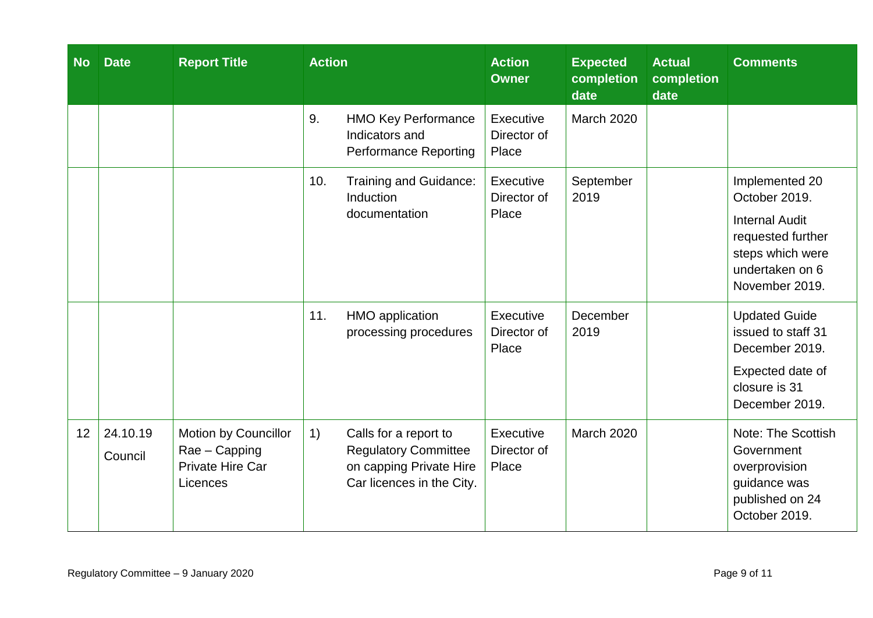| <b>No</b>       | <b>Date</b>         | <b>Report Title</b>                                                   | <b>Action</b> |                                                                                                              | <b>Action</b><br><b>Owner</b>     | <b>Expected</b><br>completion<br>date | <b>Actual</b><br>completion<br>date | <b>Comments</b>                                                                                                                        |
|-----------------|---------------------|-----------------------------------------------------------------------|---------------|--------------------------------------------------------------------------------------------------------------|-----------------------------------|---------------------------------------|-------------------------------------|----------------------------------------------------------------------------------------------------------------------------------------|
|                 |                     |                                                                       | 9.            | <b>HMO Key Performance</b><br>Indicators and<br><b>Performance Reporting</b>                                 | Executive<br>Director of<br>Place | March 2020                            |                                     |                                                                                                                                        |
|                 |                     |                                                                       | 10.           | Training and Guidance:<br>Induction<br>documentation                                                         | Executive<br>Director of<br>Place | September<br>2019                     |                                     | Implemented 20<br>October 2019.<br><b>Internal Audit</b><br>requested further<br>steps which were<br>undertaken on 6<br>November 2019. |
|                 |                     |                                                                       | 11.           | HMO application<br>processing procedures                                                                     | Executive<br>Director of<br>Place | December<br>2019                      |                                     | <b>Updated Guide</b><br>issued to staff 31<br>December 2019.<br>Expected date of<br>closure is 31<br>December 2019.                    |
| 12 <sup>7</sup> | 24.10.19<br>Council | Motion by Councillor<br>Rae - Capping<br>Private Hire Car<br>Licences | 1)            | Calls for a report to<br><b>Regulatory Committee</b><br>on capping Private Hire<br>Car licences in the City. | Executive<br>Director of<br>Place | March 2020                            |                                     | Note: The Scottish<br>Government<br>overprovision<br>guidance was<br>published on 24<br>October 2019.                                  |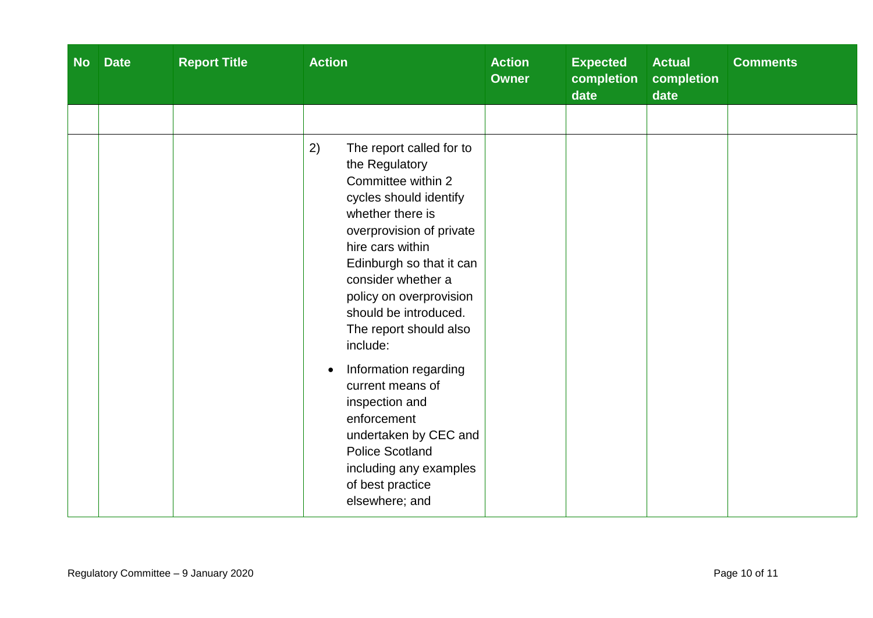| <b>No</b> | <b>Date</b> | <b>Report Title</b> | <b>Action</b>                                                                                                                                                                                                                                                                                                                                                                                                                                                                                                                  | <b>Action</b><br><b>Owner</b> | <b>Expected</b><br>completion<br>date | <b>Actual</b><br>completion<br>date | <b>Comments</b> |
|-----------|-------------|---------------------|--------------------------------------------------------------------------------------------------------------------------------------------------------------------------------------------------------------------------------------------------------------------------------------------------------------------------------------------------------------------------------------------------------------------------------------------------------------------------------------------------------------------------------|-------------------------------|---------------------------------------|-------------------------------------|-----------------|
|           |             |                     | 2)<br>The report called for to<br>the Regulatory<br>Committee within 2<br>cycles should identify<br>whether there is<br>overprovision of private<br>hire cars within<br>Edinburgh so that it can<br>consider whether a<br>policy on overprovision<br>should be introduced.<br>The report should also<br>include:<br>Information regarding<br>$\bullet$<br>current means of<br>inspection and<br>enforcement<br>undertaken by CEC and<br><b>Police Scotland</b><br>including any examples<br>of best practice<br>elsewhere; and |                               |                                       |                                     |                 |